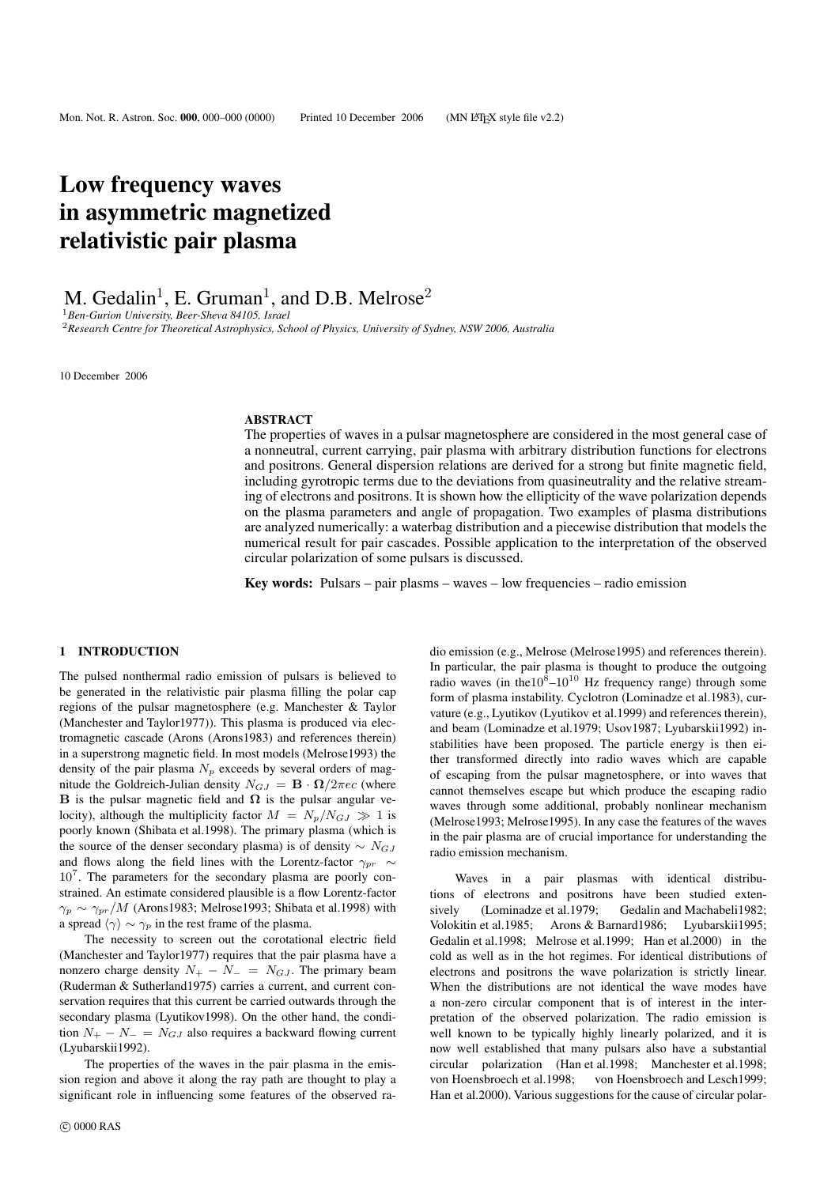# Low frequency waves in asymmetric magnetized relativistic pair plasma

M. Gedalin<sup>1</sup>, E. Gruman<sup>1</sup>, and D.B. Melrose<sup>2</sup>

<sup>1</sup>*Ben-Gurion University, Beer-Sheva 84105, Israel* <sup>2</sup>*Research Centre for Theoretical Astrophysics, School of Physics, University of Sydney, NSW 2006, Australia*

10 December 2006

#### ABSTRACT

The properties of waves in a pulsar magnetosphere are considered in the most general case of a nonneutral, current carrying, pair plasma with arbitrary distribution functions for electrons and positrons. General dispersion relations are derived for a strong but finite magnetic field, including gyrotropic terms due to the deviations from quasineutrality and the relative streaming of electrons and positrons. It is shown how the ellipticity of the wave polarization depends on the plasma parameters and angle of propagation. Two examples of plasma distributions are analyzed numerically: a waterbag distribution and a piecewise distribution that models the numerical result for pair cascades. Possible application to the interpretation of the observed circular polarization of some pulsars is discussed.

**Key words:** Pulsars – pair plasms – waves – low frequencies – radio emission

#### 1 INTRODUCTION

The pulsed nonthermal radio emission of pulsars is believed to be generated in the relativistic pair plasma filling the polar cap regions of the pulsar magnetosphere (e.g. Manchester & Taylor (Manchester and Taylor1977)). This plasma is produced via electromagnetic cascade (Arons (Arons1983) and references therein) in a superstrong magnetic field. In most models (Melrose1993) the density of the pair plasma  $N_p$  exceeds by several orders of magnitude the Goldreich-Julian density  $N_{GJ} = \mathbf{B} \cdot \mathbf{\Omega}/2\pi e c$  (where **B** is the pulsar magnetic field and  $\Omega$  is the pulsar angular velocity), although the multiplicity factor  $M = N_p/N_{GJ} \gg 1$  is poorly known (Shibata et al.1998). The primary plasma (which is the source of the denser secondary plasma) is of density  $\sim N_{GJ}$ and flows along the field lines with the Lorentz-factor  $\gamma_{pr} \sim$ 10<sup>7</sup>. The parameters for the secondary plasma are poorly constrained. An estimate considered plausible is a flow Lorentz-factor  $\gamma_p \sim \gamma_{pr}/M$  (Arons1983; Melrose1993; Shibata et al.1998) with a spread  $\langle \gamma \rangle \sim \gamma_p$  in the rest frame of the plasma.

The necessity to screen out the corotational electric field (Manchester and Taylor1977) requires that the pair plasma have a nonzero charge density  $N_{+} - N_{-} = N_{GJ}$ . The primary beam (Ruderman & Sutherland1975) carries a current, and current conservation requires that this current be carried outwards through the secondary plasma (Lyutikov1998). On the other hand, the condition  $N_+ - N_- = N_{GJ}$  also requires a backward flowing current (Lyubarskii1992).

The properties of the waves in the pair plasma in the emission region and above it along the ray path are thought to play a significant role in influencing some features of the observed ra-

c 0000 RAS

dio emission (e.g., Melrose (Melrose1995) and references therein). In particular, the pair plasma is thought to produce the outgoing radio waves (in the $10^8 - 10^{10}$  Hz frequency range) through some form of plasma instability. Cyclotron (Lominadze et al.1983), curvature (e.g., Lyutikov (Lyutikov et al.1999) and references therein), and beam (Lominadze et al.1979; Usov1987; Lyubarskii1992) instabilities have been proposed. The particle energy is then either transformed directly into radio waves which are capable of escaping from the pulsar magnetosphere, or into waves that cannot themselves escape but which produce the escaping radio waves through some additional, probably nonlinear mechanism (Melrose1993; Melrose1995). In any case the features of the waves in the pair plasma are of crucial importance for understanding the radio emission mechanism.

Waves in a pair plasmas with identical distributions of electrons and positrons have been studied extensively (Lominadze et al. 1979; Gedalin and Machabeli 1982; Volokitin et al.1985; Arons & Barnard1986; Lyubarskii1995; Gedalin et al.1998; Melrose et al.1999; Han et al.2000) in the cold as well as in the hot regimes. For identical distributions of electrons and positrons the wave polarization is strictly linear. When the distributions are not identical the wave modes have a non-zero circular component that is of interest in the interpretation of the observed polarization. The radio emission is well known to be typically highly linearly polarized, and it is now well established that many pulsars also have a substantial circular polarization (Han et al.1998; Manchester et al.1998; von Hoensbroech et al.1998; von Hoensbroech and Lesch1999; Han et al.2000). Various suggestions for the cause of circular polar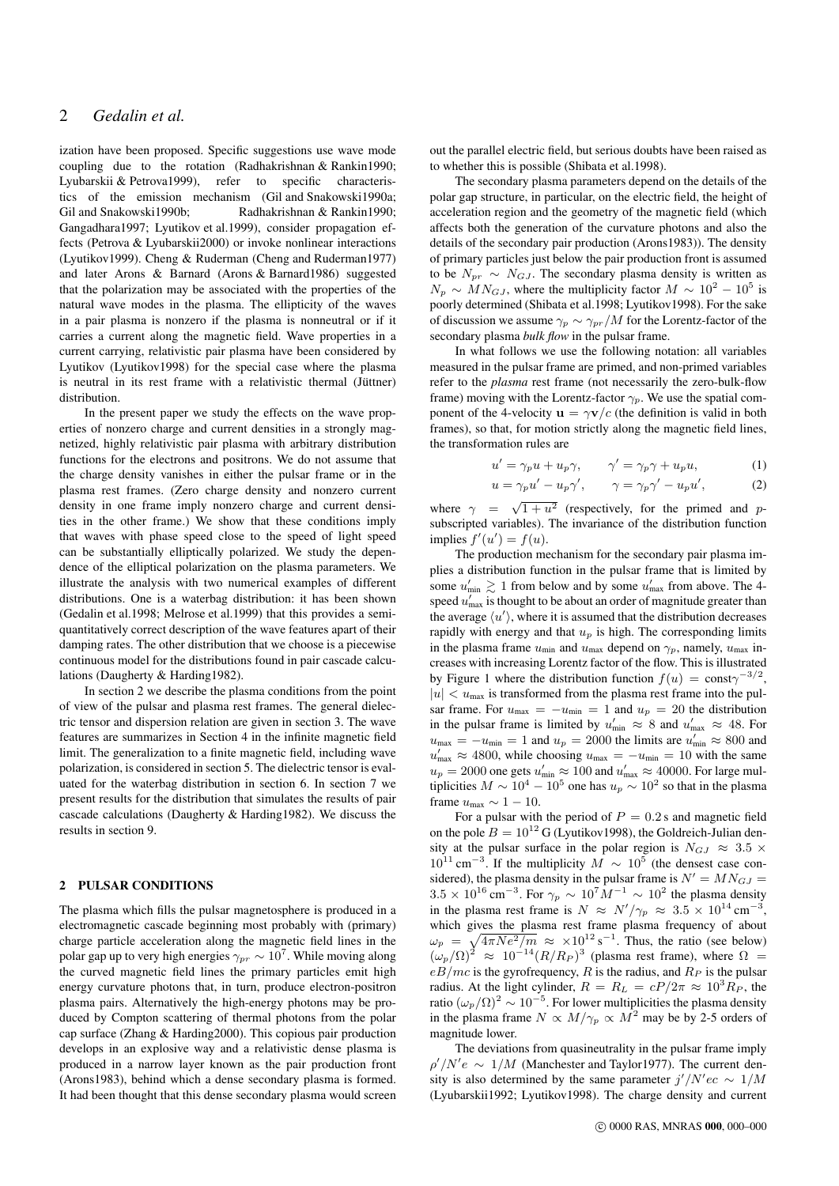ization have been proposed. Specific suggestions use wave mode coupling due to the rotation (Radhakrishnan & Rankin1990; Lyubarskii & Petrova1999), refer to specific characteristics of the emission mechanism (Gil and Snakowski1990a; Gil and Snakowski1990b; Radhakrishnan & Rankin1990; Gangadhara1997; Lyutikov et al.1999), consider propagation effects (Petrova & Lyubarskii2000) or invoke nonlinear interactions (Lyutikov1999). Cheng & Ruderman (Cheng and Ruderman1977) and later Arons & Barnard (Arons & Barnard1986) suggested that the polarization may be associated with the properties of the natural wave modes in the plasma. The ellipticity of the waves in a pair plasma is nonzero if the plasma is nonneutral or if it carries a current along the magnetic field. Wave properties in a current carrying, relativistic pair plasma have been considered by Lyutikov (Lyutikov1998) for the special case where the plasma is neutral in its rest frame with a relativistic thermal (Jüttner) distribution.

In the present paper we study the effects on the wave properties of nonzero charge and current densities in a strongly magnetized, highly relativistic pair plasma with arbitrary distribution functions for the electrons and positrons. We do not assume that the charge density vanishes in either the pulsar frame or in the plasma rest frames. (Zero charge density and nonzero current density in one frame imply nonzero charge and current densities in the other frame.) We show that these conditions imply that waves with phase speed close to the speed of light speed can be substantially elliptically polarized. We study the dependence of the elliptical polarization on the plasma parameters. We illustrate the analysis with two numerical examples of different distributions. One is a waterbag distribution: it has been shown (Gedalin et al.1998; Melrose et al.1999) that this provides a semiquantitatively correct description of the wave features apart of their damping rates. The other distribution that we choose is a piecewise continuous model for the distributions found in pair cascade calculations (Daugherty & Harding1982).

In section 2 we describe the plasma conditions from the point of view of the pulsar and plasma rest frames. The general dielectric tensor and dispersion relation are given in section 3. The wave features are summarizes in Section 4 in the infinite magnetic field limit. The generalization to a finite magnetic field, including wave polarization, is considered in section 5. The dielectric tensor is evaluated for the waterbag distribution in section 6. In section 7 we present results for the distribution that simulates the results of pair cascade calculations (Daugherty & Harding1982). We discuss the results in section 9.

### 2 PULSAR CONDITIONS

The plasma which fills the pulsar magnetosphere is produced in a electromagnetic cascade beginning most probably with (primary) charge particle acceleration along the magnetic field lines in the polar gap up to very high energies  $\gamma_{pr} \sim 10^7$ . While moving along the curved magnetic field lines the primary particles emit high energy curvature photons that, in turn, produce electron-positron plasma pairs. Alternatively the high-energy photons may be produced by Compton scattering of thermal photons from the polar cap surface (Zhang & Harding2000). This copious pair production develops in an explosive way and a relativistic dense plasma is produced in a narrow layer known as the pair production front (Arons1983), behind which a dense secondary plasma is formed. It had been thought that this dense secondary plasma would screen out the parallel electric field, but serious doubts have been raised as to whether this is possible (Shibata et al.1998).

The secondary plasma parameters depend on the details of the polar gap structure, in particular, on the electric field, the height of acceleration region and the geometry of the magnetic field (which affects both the generation of the curvature photons and also the details of the secondary pair production (Arons1983)). The density of primary particles just below the pair production front is assumed to be  $N_{pr} \sim N_{GJ}$ . The secondary plasma density is written as  $N_p \sim M N_{GJ}$ , where the multiplicity factor  $M \sim 10^2 - 10^5$  is poorly determined (Shibata et al.1998; Lyutikov1998). For the sake of discussion we assume  $\gamma_p \sim \gamma_{pr}/M$  for the Lorentz-factor of the secondary plasma *bulk flow* in the pulsar frame.

In what follows we use the following notation: all variables measured in the pulsar frame are primed, and non-primed variables refer to the *plasma* rest frame (not necessarily the zero-bulk-flow frame) moving with the Lorentz-factor  $\gamma_p$ . We use the spatial component of the 4-velocity  $\mathbf{u} = \gamma \mathbf{v}/c$  (the definition is valid in both frames), so that, for motion strictly along the magnetic field lines, the transformation rules are

$$
u' = \gamma_p u + u_p \gamma, \qquad \gamma' = \gamma_p \gamma + u_p u,
$$
  
\n
$$
u = \gamma_p u' - u_p \gamma', \qquad \gamma = \gamma_p \gamma' - u_p u',
$$
\n(1)

where  $\gamma = \sqrt{1 + u^2}$  (respectively, for the primed and psubscripted variables). The invariance of the distribution function implies  $f'(u') = f(u)$ .

The production mechanism for the secondary pair plasma implies a distribution function in the pulsar frame that is limited by some  $u'_{\text{min}} \gtrsim 1$  from below and by some  $u'_{\text{max}}$  from above. The 4speed  $u'_{\text{max}}$  is thought to be about an order of magnitude greater than the average  $\langle u' \rangle$ , where it is assumed that the distribution decreases rapidly with energy and that  $u_p$  is high. The corresponding limits in the plasma frame  $u_{\text{min}}$  and  $u_{\text{max}}$  depend on  $\gamma_p$ , namely,  $u_{\text{max}}$  increases with increasing Lorentz factor of the flow. This is illustrated by Figure 1 where the distribution function  $f(u) = \text{const} \gamma^{-3/2}$ ,  $|u| < u_{\text{max}}$  is transformed from the plasma rest frame into the pulsar frame. For  $u_{\text{max}} = -u_{\text{min}} = 1$  and  $u_p = 20$  the distribution in the pulsar frame is limited by  $u'_{\text{min}} \approx 8$  and  $u'_{\text{max}} \approx 48$ . For  $u_{\text{max}} = -u_{\text{min}} = 1$  and  $u_p = 2000$  the limits are  $u'_{\text{min}} \approx 800$  and  $u'_{\text{max}} \approx 4800$ , while choosing  $u_{\text{max}} = -u_{\text{min}} = 10$  with the same  $u_p = 2000$  one gets  $u'_{\text{min}} \approx 100$  and  $u'_{\text{max}} \approx 40000$ . For large multiplicities  $M \sim 10^4 - 10^5$  one has  $u_p \sim 10^2$  so that in the plasma frame  $u_{\text{max}} \sim 1 - 10$ .

For a pulsar with the period of  $P = 0.2$  s and magnetic field on the pole  $B = 10^{12}$  G (Lyutikov1998), the Goldreich-Julian density at the pulsar surface in the polar region is  $N_{GJ} \approx 3.5 \times$  $10^{11}$  cm<sup>-3</sup>. If the multiplicity  $M \sim 10^5$  (the densest case considered), the plasma density in the pulsar frame is  $N' = MN_{GJ}$  $3.5 \times 10^{16}$  cm<sup>-3</sup>. For  $\gamma_p \sim 10^7 M^{-1} \sim 10^2$  the plasma density in the plasma rest frame is  $N \approx N'/\gamma_p \approx 3.5 \times 10^{14} \text{ cm}^{-3}$ , which gives the plasma rest frame plasma frequency of about  $\omega_p = \sqrt{4\pi Ne^2/m} \approx \times 10^{12} \text{ s}^{-1}$ . Thus, the ratio (see below)  $(\omega_p/\Omega)^2 \approx 10^{-14} (R/R_P)^3$  (plasma rest frame), where  $\Omega =$  $eB/mc$  is the gyrofrequency, R is the radius, and  $R_P$  is the pulsar radius. At the light cylinder,  $R = R_L = cP/2\pi \approx 10^3 R_P$ , the ratio  $(\omega_p/\Omega)^2 \sim 10^{-5}$ . For lower multiplicities the plasma density in the plasma frame  $N \propto M/\gamma_p \propto M^2$  may be by 2-5 orders of magnitude lower.

The deviations from quasineutrality in the pulsar frame imply  $\rho' / N' e \sim 1 / M$  (Manchester and Taylor1977). The current density is also determined by the same parameter  $j'/N'ec \sim 1/M$ (Lyubarskii1992; Lyutikov1998). The charge density and current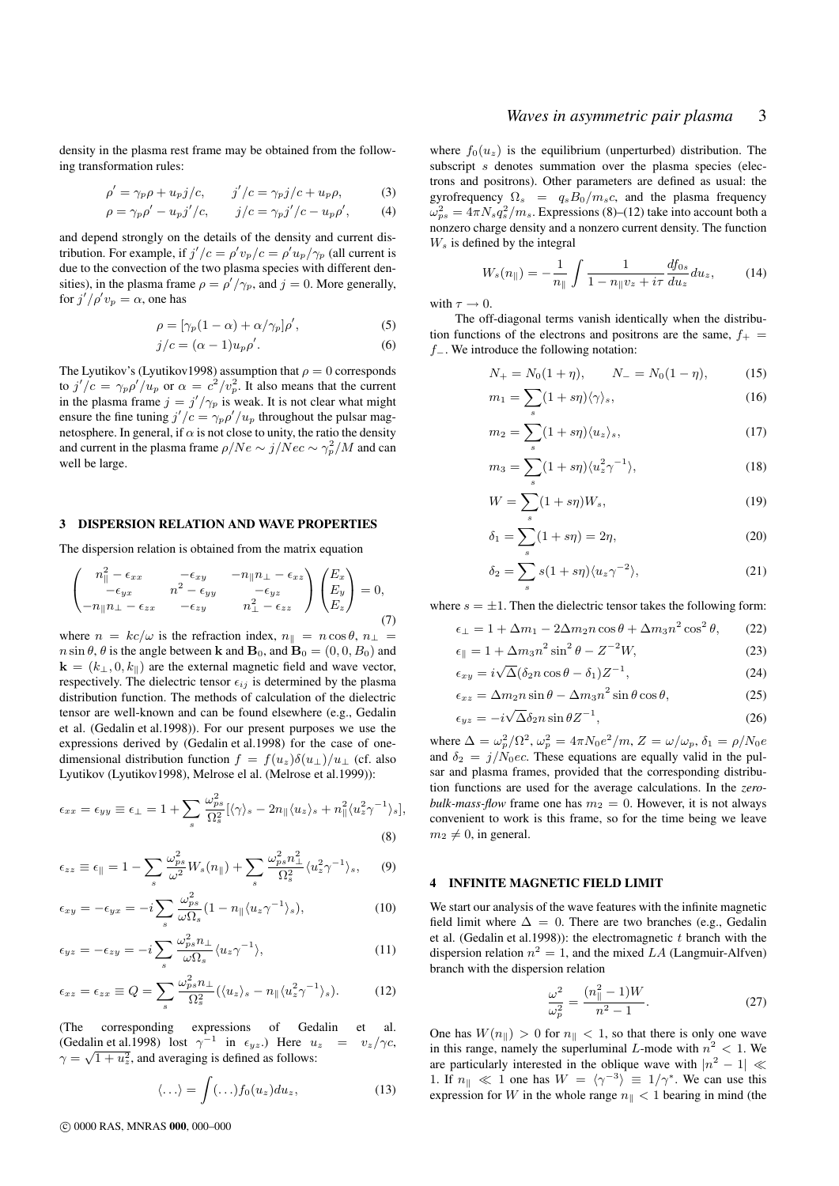## *Waves in asymmetric pair plasma* 3

density in the plasma rest frame may be obtained from the following transformation rules:

$$
\rho' = \gamma_p \rho + u_p j/c, \qquad j'/c = \gamma_p j/c + u_p \rho,
$$
\n(3)  
\n
$$
\rho = \gamma_p \rho' - u_p j'/c, \qquad j/c = \gamma_p j'/c - u_p \rho', \qquad (4)
$$

and depend strongly on the details of the density and current distribution. For example, if  $j'/c = \rho' v_p/c = \rho' u_p/\gamma_p$  (all current is due to the convection of the two plasma species with different densities), in the plasma frame  $\rho = \rho'/\gamma_p$ , and  $j = 0$ . More generally, for  $j'/\rho' v_p = \alpha$ , one has

$$
\rho = [\gamma_p (1 - \alpha) + \alpha / \gamma_p] \rho', \tag{5}
$$

$$
j/c = (\alpha - 1)u_p \rho'.\tag{6}
$$

The Lyutikov's (Lyutikov1998) assumption that  $\rho = 0$  corresponds to  $j'/c = \gamma_p \rho'/u_p$  or  $\alpha = c^2/v_p^2$ . It also means that the current in the plasma frame  $j = j'/\gamma_p$  is weak. It is not clear what might ensure the fine tuning  $j'/c = \gamma_p \rho'/u_p$  throughout the pulsar magnetosphere. In general, if  $\alpha$  is not close to unity, the ratio the density and current in the plasma frame  $\rho/Ne \sim j/Nec \sim \gamma_p^2/M$  and can well be large.

#### 3 DISPERSION RELATION AND WAVE PROPERTIES

The dispersion relation is obtained from the matrix equation

$$
\begin{pmatrix} n_{\parallel}^2 - \epsilon_{xx} & -\epsilon_{xy} & -n_{\parallel} n_{\perp} - \epsilon_{xz} \\ -\epsilon_{yx} & n^2 - \epsilon_{yy} & -\epsilon_{yz} \\ -n_{\parallel} n_{\perp} - \epsilon_{zx} & -\epsilon_{zy} & n_{\perp}^2 - \epsilon_{zz} \end{pmatrix} \begin{pmatrix} E_x \\ E_y \\ E_z \end{pmatrix} = 0, \tag{7}
$$

where  $n = kc/\omega$  is the refraction index,  $n_{\parallel} = n \cos \theta$ ,  $n_{\perp} =$  $n \sin \theta$ ,  $\theta$  is the angle between **k** and **B**<sub>0</sub>, and **B**<sub>0</sub> = (0, 0, B<sub>0</sub>) and  $\mathbf{k} = (k_{\perp}, 0, k_{\parallel})$  are the external magnetic field and wave vector, respectively. The dielectric tensor  $\epsilon_{ij}$  is determined by the plasma distribution function. The methods of calculation of the dielectric tensor are well-known and can be found elsewhere (e.g., Gedalin et al. (Gedalin et al.1998)). For our present purposes we use the expressions derived by (Gedalin et al.1998) for the case of onedimensional distribution function  $f = f(u_z)\delta(u_+) / u_+$  (cf. also Lyutikov (Lyutikov1998), Melrose el al. (Melrose et al.1999)):

$$
\epsilon_{xx} = \epsilon_{yy} \equiv \epsilon_{\perp} = 1 + \sum_{s} \frac{\omega_{ps}^2}{\Omega_s^2} [\langle \gamma \rangle_s - 2n_{\parallel} \langle u_z \rangle_s + n_{\parallel}^2 \langle u_z^2 \gamma^{-1} \rangle_s],
$$
\n(8)

$$
\epsilon_{zz} \equiv \epsilon_{\parallel} = 1 - \sum_{s} \frac{\omega_{ps}^2}{\omega^2} W_s(n_{\parallel}) + \sum_{s} \frac{\omega_{ps}^2 n_{\perp}^2}{\Omega_s^2} \langle u_z^2 \gamma^{-1} \rangle_s, \quad (9)
$$

$$
\epsilon_{xy} = -\epsilon_{yx} = -i \sum_{s} \frac{\omega_{ps}^2}{\omega \Omega_s} (1 - n_{\parallel} \langle u_z \gamma^{-1} \rangle_s), \tag{10}
$$

$$
\epsilon_{yz} = -\epsilon_{zy} = -i \sum_{s} \frac{\omega_{ps}^2 n_{\perp}}{\omega \Omega_s} \langle u_z \gamma^{-1} \rangle, \tag{11}
$$

$$
\epsilon_{xz} = \epsilon_{zx} \equiv Q = \sum_{s} \frac{\omega_{ps}^2 n_{\perp}}{\Omega_s^2} (\langle u_z \rangle_s - n_{\parallel} \langle u_z^2 \gamma^{-1} \rangle_s). \tag{12}
$$

(The corresponding expressions of Gedalin et al. (Gedalin et al.1998) lost  $\gamma^{-1}$  in  $\epsilon_{yz}$ .) Here  $u_z = v_z/\gamma c$ ,  $\gamma = \sqrt{1 + u_z^2}$ , and averaging is defined as follows:

$$
\langle \ldots \rangle = \int (\ldots) f_0(u_z) du_z, \qquad (13)
$$

where  $f_0(u_z)$  is the equilibrium (unperturbed) distribution. The subscript s denotes summation over the plasma species (electrons and positrons). Other parameters are defined as usual: the gyrofrequency  $\Omega_s = q_s B_0/m_s c$ , and the plasma frequency  $\omega_{ps}^2 = 4\pi N_s q_s^2/m_s$ . Expressions (8)–(12) take into account both a nonzero charge density and a nonzero current density. The function  $W<sub>s</sub>$  is defined by the integral

$$
W_s(n_{\parallel}) = -\frac{1}{n_{\parallel}} \int \frac{1}{1 - n_{\parallel} v_z + i\tau} \frac{df_{0s}}{du_z} du_z, \quad (14)
$$

with  $\tau \to 0$ .

The off-diagonal terms vanish identically when the distribution functions of the electrons and positrons are the same,  $f_{+}$  = f−. We introduce the following notation:

$$
N_{+} = N_0(1 + \eta), \qquad N_{-} = N_0(1 - \eta), \tag{15}
$$

$$
m_1 = \sum_s (1 + s\eta) \langle \gamma \rangle_s,\tag{16}
$$

$$
m_2 = \sum_s (1 + s\eta) \langle u_z \rangle_s,\tag{17}
$$

$$
m_3 = \sum_s (1 + s\eta) \langle u_z^2 \gamma^{-1} \rangle, \tag{18}
$$

$$
W = \sum_{s} (1 + s\eta) W_s,\tag{19}
$$

$$
\delta_1 = \sum_s (1 + s\eta) = 2\eta,\tag{20}
$$

$$
\delta_2 = \sum_s s(1 + s\eta) \langle u_z \gamma^{-2} \rangle, \tag{21}
$$

where  $s = \pm 1$ . Then the dielectric tensor takes the following form:

$$
\epsilon_{\perp} = 1 + \Delta m_1 - 2\Delta m_2 n \cos \theta + \Delta m_3 n^2 \cos^2 \theta, \qquad (22)
$$

$$
\epsilon_{\parallel} = 1 + \Delta m_3 n^2 \sin^2 \theta - Z^{-2} W,\tag{23}
$$

$$
\epsilon_{xy} = i\sqrt{\Delta}(\delta_2 n \cos \theta - \delta_1)Z^{-1},\tag{24}
$$

$$
\epsilon_{xz} = \Delta m_2 n \sin \theta - \Delta m_3 n^2 \sin \theta \cos \theta, \tag{25}
$$

$$
\epsilon_{yz} = -i\sqrt{\Delta}\delta_2 n \sin\theta Z^{-1},\tag{26}
$$

where  $\Delta = \omega_p^2 / \Omega^2$ ,  $\omega_p^2 = 4\pi N_0 e^2 / m$ ,  $Z = \omega / \omega_p$ ,  $\delta_1 = \rho / N_0 e$ and  $\delta_2 = j/N_0ec$ . These equations are equally valid in the pulsar and plasma frames, provided that the corresponding distribution functions are used for the average calculations. In the *zerobulk-mass-flow* frame one has  $m_2 = 0$ . However, it is not always convenient to work is this frame, so for the time being we leave  $m_2 \neq 0$ , in general.

#### 4 INFINITE MAGNETIC FIELD LIMIT

We start our analysis of the wave features with the infinite magnetic field limit where  $\Delta = 0$ . There are two branches (e.g., Gedalin et al. (Gedalin et al. 1998)): the electromagnetic  $t$  branch with the dispersion relation  $n^2 = 1$ , and the mixed LA (Langmuir-Alfven) branch with the dispersion relation

$$
\frac{\omega^2}{\omega_p^2} = \frac{(n_{\parallel}^2 - 1)W}{n^2 - 1}.
$$
 (27)

One has  $W(n_{\parallel}) > 0$  for  $n_{\parallel} < 1$ , so that there is only one wave in this range, namely the superluminal L-mode with  $n^2 < 1$ . We are particularly interested in the oblique wave with  $|n^2 - 1| \ll$ 1. If  $n_{\parallel} \ll 1$  one has  $W = \langle \gamma^{-3} \rangle \equiv 1/\gamma^*$ . We can use this expression for W in the whole range  $n_{\parallel}$  < 1 bearing in mind (the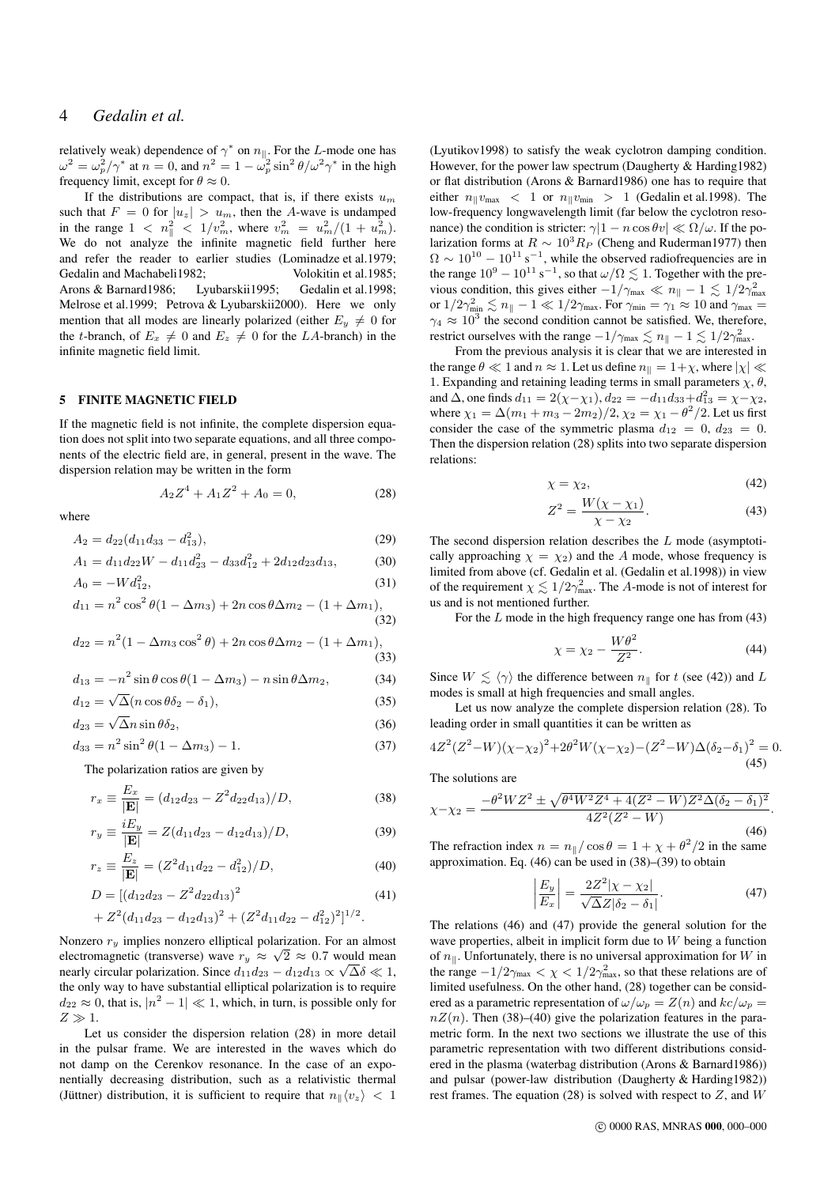## 4 *Gedalin et al.*

relatively weak) dependence of  $\gamma^*$  on  $n_{\parallel}$ . For the L-mode one has  $\omega^2 = \omega_p^2/\gamma^*$  at  $n = 0$ , and  $n^2 = 1 - \omega_p^2 \sin^2 \theta / \omega^2 \gamma^*$  in the high frequency limit, except for  $\theta \approx 0$ .

If the distributions are compact, that is, if there exists  $u_m$ such that  $F = 0$  for  $|u_z| > u_m$ , then the A-wave is undamped in the range  $1 \, < \, n_{\parallel}^2 \, < \, 1/v_m^2$ , where  $v_m^2 \, = \, u_m^2/(1 + u_m^2)$ . We do not analyze the infinite magnetic field further here and refer the reader to earlier studies (Lominadze et al.1979; Gedalin and Machabeli1982; Volokitin et al.1985: Arons & Barnard1986; Lyubarskii1995; Gedalin et al.1998; Melrose et al.1999; Petrova & Lyubarskii2000). Here we only mention that all modes are linearly polarized (either  $E_y \neq 0$  for the t-branch, of  $E_x \neq 0$  and  $E_z \neq 0$  for the LA-branch) in the infinite magnetic field limit.

## 5 FINITE MAGNETIC FIELD

If the magnetic field is not infinite, the complete dispersion equation does not split into two separate equations, and all three components of the electric field are, in general, present in the wave. The dispersion relation may be written in the form

$$
A_2 Z^4 + A_1 Z^2 + A_0 = 0,\t\t(28)
$$

where

$$
A_2 = d_{22}(d_{11}d_{33} - d_{13}^2), \tag{29}
$$

$$
A_1 = d_{11}d_{22}W - d_{11}d_{23}^2 - d_{33}d_{12}^2 + 2d_{12}d_{23}d_{13},
$$
 (30)

$$
A_0 = -Wd_{12}^2,\tag{31}
$$

$$
d_{11} = n^2 \cos^2 \theta (1 - \Delta m_3) + 2n \cos \theta \Delta m_2 - (1 + \Delta m_1),
$$
\n(32)

$$
d_{22} = n^2 (1 - \Delta m_3 \cos^2 \theta) + 2n \cos \theta \Delta m_2 - (1 + \Delta m_1),
$$
\n(33)

$$
d_{13} = -n^2 \sin \theta \cos \theta (1 - \Delta m_3) - n \sin \theta \Delta m_2, \tag{34}
$$

$$
d_{12} = \sqrt{\Delta}(n\cos\theta\delta_2 - \delta_1),\tag{35}
$$

$$
d_{23} = \sqrt{\Delta}n\sin\theta\delta_2,\tag{36}
$$

$$
d_{33} = n^2 \sin^2 \theta (1 - \Delta m_3) - 1. \tag{37}
$$

The polarization ratios are given by

$$
r_x \equiv \frac{E_x}{|\mathbf{E}|} = (d_{12}d_{23} - Z^2 d_{22}d_{13})/D,
$$
\n(38)

$$
r_y \equiv \frac{iE_y}{|\mathbf{E}|} = Z(d_{11}d_{23} - d_{12}d_{13})/D,\tag{39}
$$

$$
r_z \equiv \frac{E_z}{|\mathbf{E}|} = (Z^2 d_{11} d_{22} - d_{12}^2)/D,
$$
\n(40)

$$
D = \left[ (d_{12}d_{23} - Z^2 d_{22} d_{13})^2 \right] \tag{41}
$$

$$
+Z^{2}(d_{11}d_{23}-d_{12}d_{13})^{2}+(Z^{2}d_{11}d_{22}-d_{12}^{2})^{2}]^{1/2}.
$$

Nonzero  $r_y$  implies nonzero elliptical polarization. For an almost electromagnetic (transverse) wave  $r_y \approx \sqrt{2} \approx 0.7$  would mean nearly circular polarization. Since  $d_{11}d_{23} - d_{12}d_{13} \propto \sqrt{\Delta \delta} \ll 1$ , the only way to have substantial elliptical polarization is to require  $d_{22} \approx 0$ , that is,  $|n^2 - 1| \ll 1$ , which, in turn, is possible only for  $Z \gg 1$ .

Let us consider the dispersion relation (28) in more detail in the pulsar frame. We are interested in the waves which do not damp on the Cerenkov resonance. In the case of an exponentially decreasing distribution, such as a relativistic thermal (Jüttner) distribution, it is sufficient to require that  $n_{\parallel} \langle v_z \rangle$  < 1

(Lyutikov1998) to satisfy the weak cyclotron damping condition. However, for the power law spectrum (Daugherty & Harding1982) or flat distribution (Arons & Barnard1986) one has to require that either  $n_{\parallel}v_{\text{max}} < 1$  or  $n_{\parallel}v_{\text{min}} > 1$  (Gedalin et al.1998). The low-frequency longwavelength limit (far below the cyclotron resonance) the condition is stricter:  $\gamma |1 - n \cos \theta v| \ll \Omega / \omega$ . If the polarization forms at  $R \sim 10^3 R_P$  (Cheng and Ruderman1977) then  $\Omega \sim 10^{10} - 10^{11}$  s<sup>-1</sup>, while the observed radiofrequencies are in the range  $10^9 - 10^{11}$  s<sup>-1</sup>, so that  $\omega/\Omega \lesssim 1$ . Together with the previous condition, this gives either  $-1/\gamma_{\text{max}} \ll n_{\parallel} - 1 \lesssim 1/2\gamma_{\text{max}}^2$ or  $1/2\gamma_{\min}^2 \lesssim n_{\parallel} - 1 \ll 1/2\gamma_{\max}$ . For  $\gamma_{\min} = \gamma_1 \approx 10$  and  $\gamma_{\max} =$  $\gamma_4 \approx 10^3$  the second condition cannot be satisfied. We, therefore, restrict ourselves with the range  $-1/\gamma_{\text{max}} \lesssim n_{\parallel} - 1 \lesssim 1/2\gamma_{\text{max}}^2$ .

From the previous analysis it is clear that we are interested in the range  $\theta \ll 1$  and  $n \approx 1$ . Let us define  $n_{\parallel} = 1+\chi$ , where  $|\chi| \ll$ 1. Expanding and retaining leading terms in small parameters  $\chi$ ,  $\theta$ , and  $\Delta$ , one finds  $d_{11} = 2(\chi - \chi_1)$ ,  $d_{22} = -d_{11}d_{33} + d_{13}^2 = \chi - \chi_2$ , where  $\chi_1 = \Delta (m_1 + m_3 - 2m_2)/2$ ,  $\chi_2 = \chi_1 - \theta^2/2$ . Let us first consider the case of the symmetric plasma  $d_{12} = 0$ ,  $d_{23} = 0$ . Then the dispersion relation (28) splits into two separate dispersion relations:

$$
\chi = \chi_2,\tag{42}
$$

$$
Z^{2} = \frac{W(\chi - \chi_{1})}{\chi - \chi_{2}}.
$$
 (43)

The second dispersion relation describes the  $L$  mode (asymptotically approaching  $\chi = \chi_2$ ) and the A mode, whose frequency is limited from above (cf. Gedalin et al. (Gedalin et al.1998)) in view of the requirement  $\chi \lesssim 1/2\gamma_{\text{max}}^2$ . The A-mode is not of interest for us and is not mentioned further.

For the L mode in the high frequency range one has from (43)

$$
\chi = \chi_2 - \frac{W\theta^2}{Z^2}.\tag{44}
$$

Since  $W \leq \langle \gamma \rangle$  the difference between  $n_{\parallel}$  for t (see (42)) and L modes is small at high frequencies and small angles.

Let us now analyze the complete dispersion relation (28). To leading order in small quantities it can be written as

$$
4Z^{2}(Z^{2}-W)(\chi-\chi_{2})^{2}+2\theta^{2}W(\chi-\chi_{2})-(Z^{2}-W)\Delta(\delta_{2}-\delta_{1})^{2}=0.
$$
\n(45)

The solutions are

$$
\chi - \chi_2 = \frac{-\theta^2 W Z^2 \pm \sqrt{\theta^4 W^2 Z^4 + 4(Z^2 - W) Z^2 \Delta (\delta_2 - \delta_1)^2}}{4Z^2 (Z^2 - W)}
$$
(46)

The refraction index  $n = n_{\parallel}/\cos\theta = 1 + \chi + \theta^2/2$  in the same approximation. Eq. (46) can be used in (38)–(39) to obtain

$$
\left|\frac{E_y}{E_x}\right| = \frac{2Z^2|\chi - \chi_2|}{\sqrt{\Delta}Z|\delta_2 - \delta_1|}.\tag{47}
$$

.

The relations (46) and (47) provide the general solution for the wave properties, albeit in implicit form due to  $W$  being a function of  $n_{\parallel}$ . Unfortunately, there is no universal approximation for W in the range  $-1/2\gamma_{\text{max}} < \chi < 1/2\gamma_{\text{max}}^2$ , so that these relations are of limited usefulness. On the other hand, (28) together can be considered as a parametric representation of  $\omega/\omega_p = Z(n)$  and  $kc/\omega_p =$  $nZ(n)$ . Then (38)–(40) give the polarization features in the parametric form. In the next two sections we illustrate the use of this parametric representation with two different distributions considered in the plasma (waterbag distribution (Arons & Barnard1986)) and pulsar (power-law distribution (Daugherty & Harding1982)) rest frames. The equation (28) is solved with respect to  $Z$ , and  $W$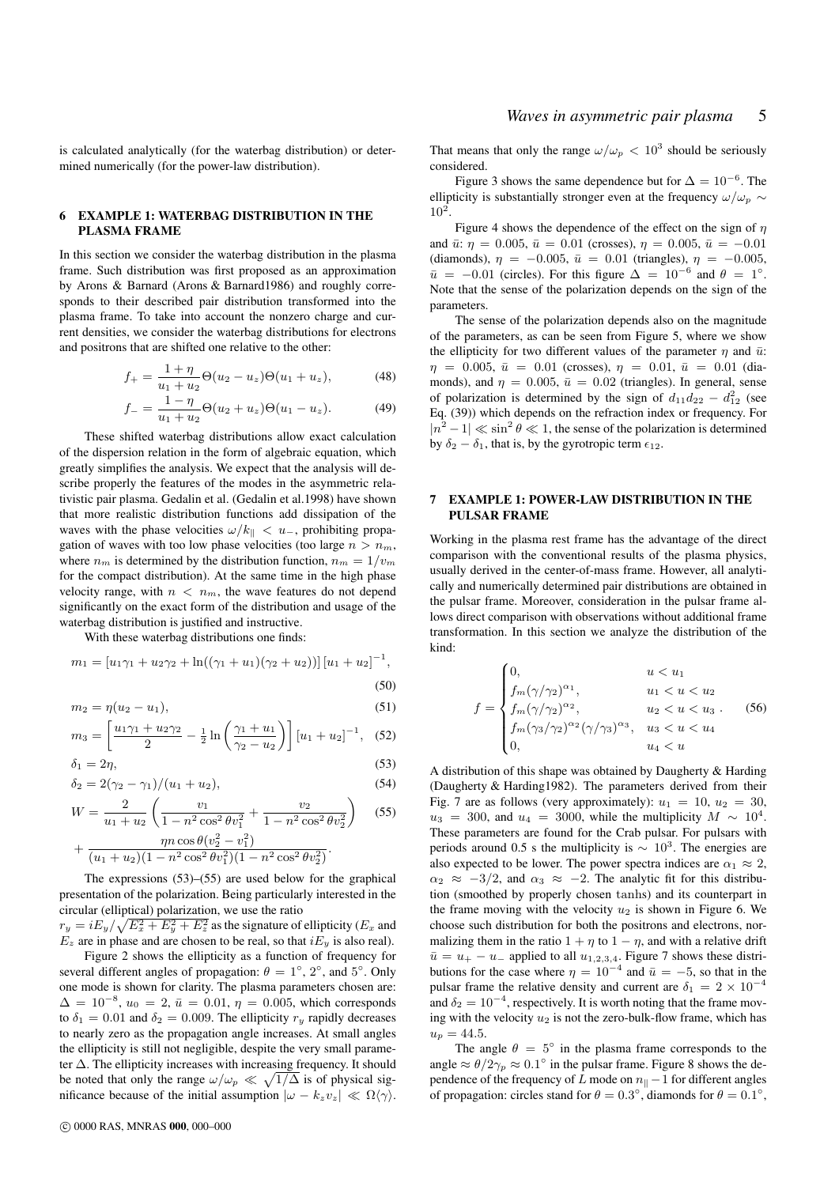is calculated analytically (for the waterbag distribution) or determined numerically (for the power-law distribution).

### 6 EXAMPLE 1: WATERBAG DISTRIBUTION IN THE PLASMA FRAME

In this section we consider the waterbag distribution in the plasma frame. Such distribution was first proposed as an approximation by Arons & Barnard (Arons & Barnard1986) and roughly corresponds to their described pair distribution transformed into the plasma frame. To take into account the nonzero charge and current densities, we consider the waterbag distributions for electrons and positrons that are shifted one relative to the other:

$$
f_{+} = \frac{1+\eta}{u_1+u_2} \Theta(u_2-u_z) \Theta(u_1+u_z), \tag{48}
$$

$$
f_{-} = \frac{1 - \eta}{u_1 + u_2} \Theta(u_2 + u_z) \Theta(u_1 - u_z).
$$
 (49)

These shifted waterbag distributions allow exact calculation of the dispersion relation in the form of algebraic equation, which greatly simplifies the analysis. We expect that the analysis will describe properly the features of the modes in the asymmetric relativistic pair plasma. Gedalin et al. (Gedalin et al.1998) have shown that more realistic distribution functions add dissipation of the waves with the phase velocities  $\omega/k_{\parallel} < u_{-}$ , prohibiting propagation of waves with too low phase velocities (too large  $n > n_m$ , where  $n_m$  is determined by the distribution function,  $n_m = 1/v_m$ for the compact distribution). At the same time in the high phase velocity range, with  $n < n_m$ , the wave features do not depend significantly on the exact form of the distribution and usage of the waterbag distribution is justified and instructive.

With these waterbag distributions one finds:

$$
m_1 = [u_1\gamma_1 + u_2\gamma_2 + \ln((\gamma_1 + u_1)(\gamma_2 + u_2))][u_1 + u_2]^{-1},
$$
\n(50)

$$
m_2 = \eta (u_2 - u_1), \tag{51}
$$

$$
m_3 = \left[\frac{u_1\gamma_1 + u_2\gamma_2}{2} - \frac{1}{2}\ln\left(\frac{\gamma_1 + u_1}{\gamma_2 - u_2}\right)\right] \left[u_1 + u_2\right]^{-1}, \quad (52)
$$

$$
\delta_1 = 2\eta,\tag{53}
$$

$$
\delta_2 = 2(\gamma_2 - \gamma_1)/(u_1 + u_2),\tag{54}
$$

$$
W = \frac{2}{u_1 + u_2} \left( \frac{v_1}{1 - n^2 \cos^2 \theta v_1^2} + \frac{v_2}{1 - n^2 \cos^2 \theta v_2^2} \right)
$$
 (55)

$$
+\frac{\eta n \cos \theta (v_2^2-v_1^2)}{(u_1+u_2)(1-n^2 \cos^2 \theta v_1^2)(1-n^2 \cos^2 \theta v_2^2)}.
$$

The expressions (53)–(55) are used below for the graphical presentation of the polarization. Being particularly interested in the circular (elliptical) polarization, we use the ratio

 $r_y = iE_y/\sqrt{E_x^2 + E_y^2 + E_z^2}$  as the signature of ellipticity ( $E_x$  and  $E_z$  are in phase and are chosen to be real, so that  $iE_y$  is also real).

Figure 2 shows the ellipticity as a function of frequency for several different angles of propagation:  $\theta = 1^{\circ}$ ,  $2^{\circ}$ , and  $5^{\circ}$ . Only one mode is shown for clarity. The plasma parameters chosen are:  $\Delta = 10^{-8}$ ,  $u_0 = 2$ ,  $\bar{u} = 0.01$ ,  $\eta = 0.005$ , which corresponds to  $\delta_1 = 0.01$  and  $\delta_2 = 0.009$ . The ellipticity  $r_y$  rapidly decreases to nearly zero as the propagation angle increases. At small angles the ellipticity is still not negligible, despite the very small parameter ∆. The ellipticity increases with increasing frequency. It should be noted that only the range  $\omega/\omega_p \ll \sqrt{1/\Delta}$  is of physical significance because of the initial assumption  $|\omega - k_z v_z| \ll \Omega \langle \gamma \rangle$ .

That means that only the range  $\omega/\omega_p < 10^3$  should be seriously considered.

Figure 3 shows the same dependence but for  $\Delta = 10^{-6}$ . The ellipticity is substantially stronger even at the frequency  $\omega/\omega_p \sim$  $10^2$ .

Figure 4 shows the dependence of the effect on the sign of  $\eta$ and  $\bar{u}$ :  $\eta = 0.005$ ,  $\bar{u} = 0.01$  (crosses),  $\eta = 0.005$ ,  $\bar{u} = -0.01$ (diamonds),  $\eta = -0.005$ ,  $\bar{u} = 0.01$  (triangles),  $\eta = -0.005$ ,  $\bar{u} = -0.01$  (circles). For this figure  $\Delta = 10^{-6}$  and  $\theta = 1^{\circ}$ . Note that the sense of the polarization depends on the sign of the parameters.

The sense of the polarization depends also on the magnitude of the parameters, as can be seen from Figure 5, where we show the ellipticity for two different values of the parameter  $\eta$  and  $\bar{u}$ :  $\eta = 0.005, \bar{u} = 0.01$  (crosses),  $\eta = 0.01, \bar{u} = 0.01$  (diamonds), and  $\eta = 0.005$ ,  $\bar{u} = 0.02$  (triangles). In general, sense of polarization is determined by the sign of  $d_{11}d_{22} - d_{12}^2$  (see Eq. (39)) which depends on the refraction index or frequency. For  $|n^2 - 1| \ll \sin^2 \theta \ll 1$ , the sense of the polarization is determined by  $\delta_2 - \delta_1$ , that is, by the gyrotropic term  $\epsilon_{12}$ .

#### 7 EXAMPLE 1: POWER-LAW DISTRIBUTION IN THE PULSAR FRAME

Working in the plasma rest frame has the advantage of the direct comparison with the conventional results of the plasma physics, usually derived in the center-of-mass frame. However, all analytically and numerically determined pair distributions are obtained in the pulsar frame. Moreover, consideration in the pulsar frame allows direct comparison with observations without additional frame transformation. In this section we analyze the distribution of the kind:

$$
f = \begin{cases} 0, & u < u_1 \\ f_m(\gamma/\gamma_2)^{\alpha_1}, & u_1 < u < u_2 \\ f_m(\gamma/\gamma_2)^{\alpha_2}, & u_2 < u < u_3 \\ f_m(\gamma_3/\gamma_2)^{\alpha_2}(\gamma/\gamma_3)^{\alpha_3}, & u_3 < u < u_4 \\ 0, & u_4 < u \end{cases}
$$
 (56)

A distribution of this shape was obtained by Daugherty & Harding (Daugherty & Harding1982). The parameters derived from their Fig. 7 are as follows (very approximately):  $u_1 = 10$ ,  $u_2 = 30$ ,  $u_3 = 300$ , and  $u_4 = 3000$ , while the multiplicity  $M \sim 10^4$ . These parameters are found for the Crab pulsar. For pulsars with periods around 0.5 s the multiplicity is  $\sim 10^3$ . The energies are also expected to be lower. The power spectra indices are  $\alpha_1 \approx 2$ ,  $\alpha_2 \approx -3/2$ , and  $\alpha_3 \approx -2$ . The analytic fit for this distribution (smoothed by properly chosen tanhs) and its counterpart in the frame moving with the velocity  $u_2$  is shown in Figure 6. We choose such distribution for both the positrons and electrons, normalizing them in the ratio  $1 + \eta$  to  $1 - \eta$ , and with a relative drift  $\bar{u} = u_+ - u_-$  applied to all  $u_{1,2,3,4}$ . Figure 7 shows these distributions for the case where  $\eta = 10^{-4}$  and  $\bar{u} = -5$ , so that in the pulsar frame the relative density and current are  $\delta_1 = 2 \times 10^{-4}$ and  $\delta_2 = 10^{-4}$ , respectively. It is worth noting that the frame moving with the velocity  $u_2$  is not the zero-bulk-flow frame, which has  $u_p = 44.5.$ 

The angle  $\theta = 5^\circ$  in the plasma frame corresponds to the angle  $\approx \theta/2\gamma_p \approx 0.1^\circ$  in the pulsar frame. Figure 8 shows the dependence of the frequency of L mode on  $n_{\parallel}$  − 1 for different angles of propagation: circles stand for  $\theta = 0.3^{\circ}$ , diamonds for  $\theta = 0.1^{\circ}$ ,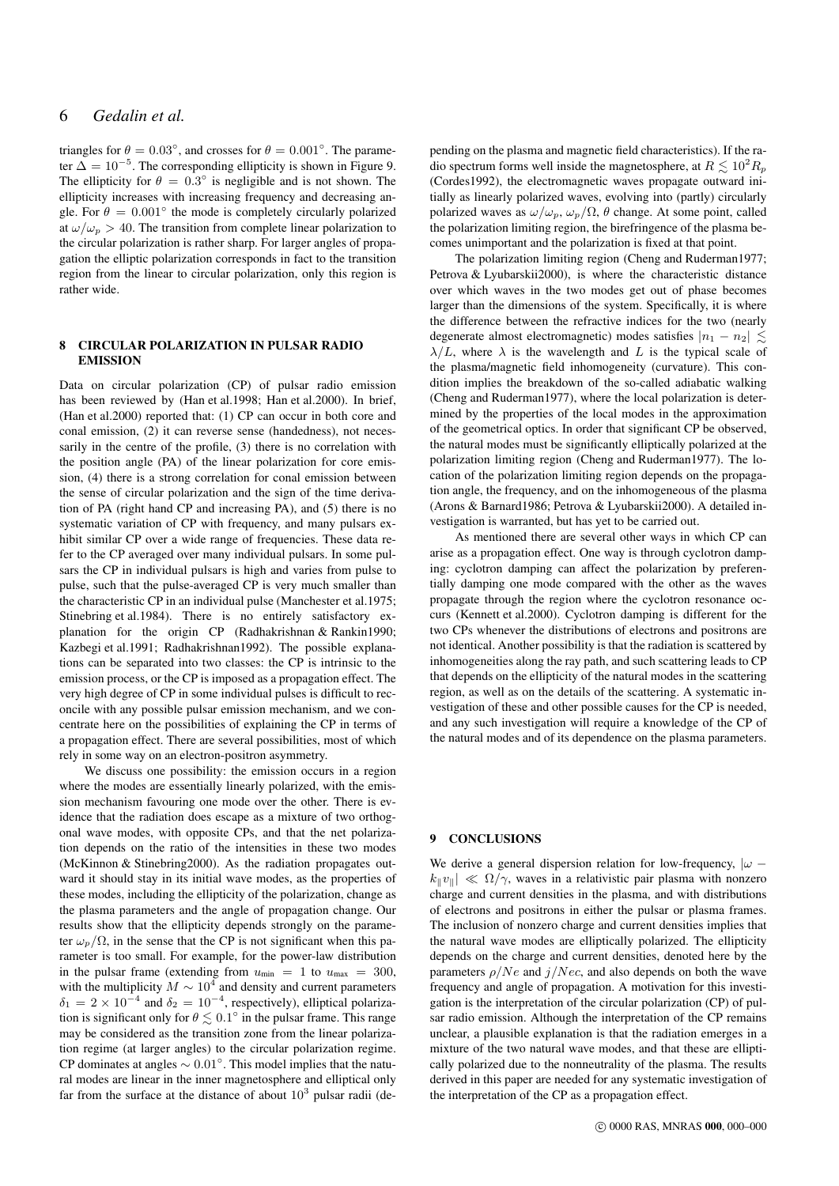# 6 *Gedalin et al.*

triangles for  $\theta = 0.03^{\circ}$ , and crosses for  $\theta = 0.001^{\circ}$ . The parameter  $\Delta = 10^{-5}$ . The corresponding ellipticity is shown in Figure 9. The ellipticity for  $\theta = 0.3^{\circ}$  is negligible and is not shown. The ellipticity increases with increasing frequency and decreasing angle. For  $\theta = 0.001^{\circ}$  the mode is completely circularly polarized at  $\omega/\omega_p > 40$ . The transition from complete linear polarization to the circular polarization is rather sharp. For larger angles of propagation the elliptic polarization corresponds in fact to the transition region from the linear to circular polarization, only this region is rather wide.

## 8 CIRCULAR POLARIZATION IN PULSAR RADIO EMISSION

Data on circular polarization (CP) of pulsar radio emission has been reviewed by (Han et al.1998; Han et al.2000). In brief, (Han et al.2000) reported that: (1) CP can occur in both core and conal emission, (2) it can reverse sense (handedness), not necessarily in the centre of the profile, (3) there is no correlation with the position angle (PA) of the linear polarization for core emission, (4) there is a strong correlation for conal emission between the sense of circular polarization and the sign of the time derivation of PA (right hand CP and increasing PA), and (5) there is no systematic variation of CP with frequency, and many pulsars exhibit similar CP over a wide range of frequencies. These data refer to the CP averaged over many individual pulsars. In some pulsars the CP in individual pulsars is high and varies from pulse to pulse, such that the pulse-averaged CP is very much smaller than the characteristic CP in an individual pulse (Manchester et al.1975; Stinebring et al.1984). There is no entirely satisfactory explanation for the origin CP (Radhakrishnan & Rankin1990; Kazbegi et al.1991; Radhakrishnan1992). The possible explanations can be separated into two classes: the CP is intrinsic to the emission process, or the CP is imposed as a propagation effect. The very high degree of CP in some individual pulses is difficult to reconcile with any possible pulsar emission mechanism, and we concentrate here on the possibilities of explaining the CP in terms of a propagation effect. There are several possibilities, most of which rely in some way on an electron-positron asymmetry.

We discuss one possibility: the emission occurs in a region where the modes are essentially linearly polarized, with the emission mechanism favouring one mode over the other. There is evidence that the radiation does escape as a mixture of two orthogonal wave modes, with opposite CPs, and that the net polarization depends on the ratio of the intensities in these two modes (McKinnon & Stinebring2000). As the radiation propagates outward it should stay in its initial wave modes, as the properties of these modes, including the ellipticity of the polarization, change as the plasma parameters and the angle of propagation change. Our results show that the ellipticity depends strongly on the parameter  $\omega_p/\Omega$ , in the sense that the CP is not significant when this parameter is too small. For example, for the power-law distribution in the pulsar frame (extending from  $u_{\text{min}} = 1$  to  $u_{\text{max}} = 300$ , with the multiplicity  $M \sim 10^4$  and density and current parameters  $\delta_1 = 2 \times 10^{-4}$  and  $\delta_2 = 10^{-4}$ , respectively), elliptical polarization is significant only for  $\theta \lesssim 0.1^\circ$  in the pulsar frame. This range may be considered as the transition zone from the linear polarization regime (at larger angles) to the circular polarization regime. CP dominates at angles  $\sim 0.01^{\circ}$ . This model implies that the natural modes are linear in the inner magnetosphere and elliptical only far from the surface at the distance of about  $10^3$  pulsar radii (de-

pending on the plasma and magnetic field characteristics). If the radio spectrum forms well inside the magnetosphere, at  $R \leq 10^2 R_p$ (Cordes1992), the electromagnetic waves propagate outward initially as linearly polarized waves, evolving into (partly) circularly polarized waves as  $\omega/\omega_p$ ,  $\omega_p/\Omega$ ,  $\theta$  change. At some point, called the polarization limiting region, the birefringence of the plasma becomes unimportant and the polarization is fixed at that point.

The polarization limiting region (Cheng and Ruderman1977; Petrova & Lyubarskii2000), is where the characteristic distance over which waves in the two modes get out of phase becomes larger than the dimensions of the system. Specifically, it is where the difference between the refractive indices for the two (nearly degenerate almost electromagnetic) modes satisfies  $|n_1 - n_2|$ .  $\lambda/L$ , where  $\lambda$  is the wavelength and L is the typical scale of the plasma/magnetic field inhomogeneity (curvature). This condition implies the breakdown of the so-called adiabatic walking (Cheng and Ruderman1977), where the local polarization is determined by the properties of the local modes in the approximation of the geometrical optics. In order that significant CP be observed, the natural modes must be significantly elliptically polarized at the polarization limiting region (Cheng and Ruderman1977). The location of the polarization limiting region depends on the propagation angle, the frequency, and on the inhomogeneous of the plasma (Arons & Barnard1986; Petrova & Lyubarskii2000). A detailed investigation is warranted, but has yet to be carried out.

As mentioned there are several other ways in which CP can arise as a propagation effect. One way is through cyclotron damping: cyclotron damping can affect the polarization by preferentially damping one mode compared with the other as the waves propagate through the region where the cyclotron resonance occurs (Kennett et al.2000). Cyclotron damping is different for the two CPs whenever the distributions of electrons and positrons are not identical. Another possibility is that the radiation is scattered by inhomogeneities along the ray path, and such scattering leads to CP that depends on the ellipticity of the natural modes in the scattering region, as well as on the details of the scattering. A systematic investigation of these and other possible causes for the CP is needed, and any such investigation will require a knowledge of the CP of the natural modes and of its dependence on the plasma parameters.

## 9 CONCLUSIONS

We derive a general dispersion relation for low-frequency,  $|\omega - \rangle$  $|k_{\parallel} v_{\parallel}| \ll \Omega/\gamma$ , waves in a relativistic pair plasma with nonzero charge and current densities in the plasma, and with distributions of electrons and positrons in either the pulsar or plasma frames. The inclusion of nonzero charge and current densities implies that the natural wave modes are elliptically polarized. The ellipticity depends on the charge and current densities, denoted here by the parameters  $\rho/Ne$  and  $j/Nec$ , and also depends on both the wave frequency and angle of propagation. A motivation for this investigation is the interpretation of the circular polarization (CP) of pulsar radio emission. Although the interpretation of the CP remains unclear, a plausible explanation is that the radiation emerges in a mixture of the two natural wave modes, and that these are elliptically polarized due to the nonneutrality of the plasma. The results derived in this paper are needed for any systematic investigation of the interpretation of the CP as a propagation effect.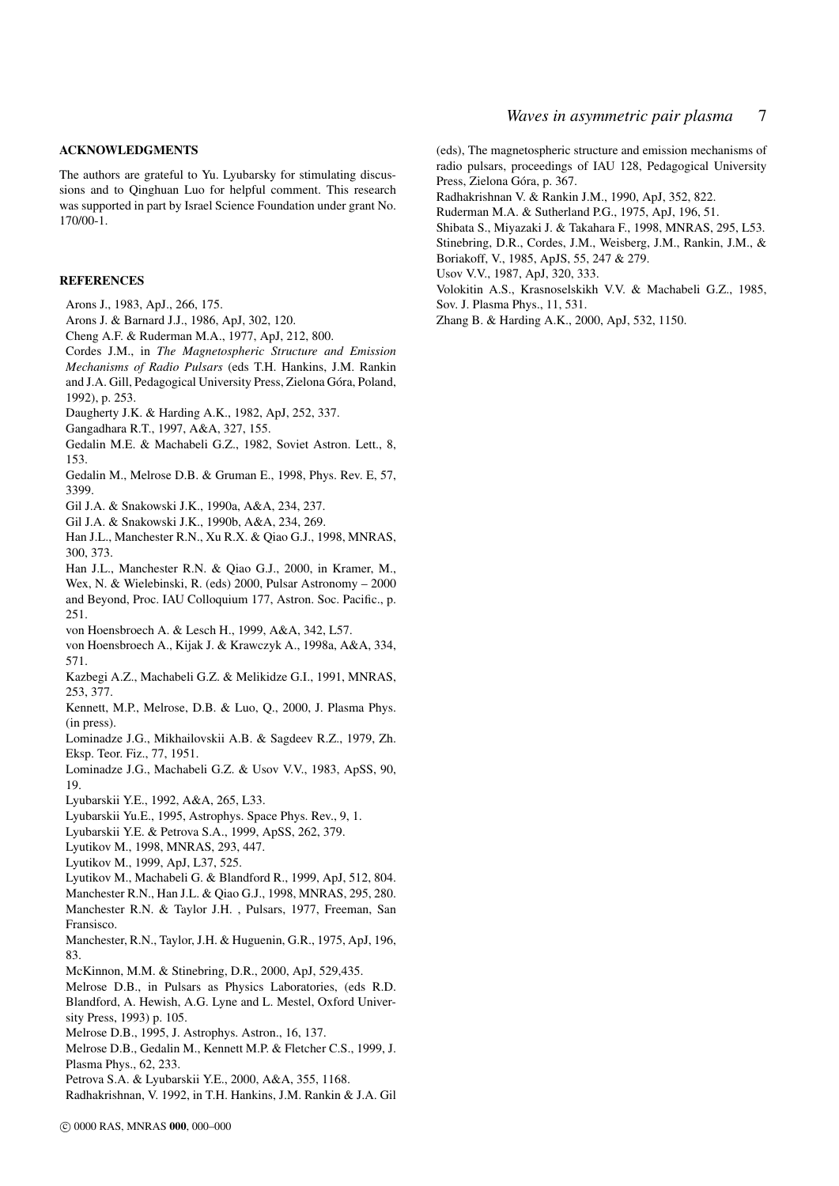#### ACKNOWLEDGMENTS

The authors are grateful to Yu. Lyubarsky for stimulating discussions and to Qinghuan Luo for helpful comment. This research was supported in part by Israel Science Foundation under grant No. 170/00-1.

#### **REFERENCES**

- Arons J., 1983, ApJ., 266, 175.
- Arons J. & Barnard J.J., 1986, ApJ, 302, 120.
- Cheng A.F. & Ruderman M.A., 1977, ApJ, 212, 800.
- Cordes J.M., in *The Magnetospheric Structure and Emission Mechanisms of Radio Pulsars* (eds T.H. Hankins, J.M. Rankin and J.A. Gill, Pedagogical University Press, Zielona Góra, Poland, 1992), p. 253.
- Daugherty J.K. & Harding A.K., 1982, ApJ, 252, 337.
- Gangadhara R.T., 1997, A&A, 327, 155.
- Gedalin M.E. & Machabeli G.Z., 1982, Soviet Astron. Lett., 8, 153.
- Gedalin M., Melrose D.B. & Gruman E., 1998, Phys. Rev. E, 57, 3399.
- Gil J.A. & Snakowski J.K., 1990a, A&A, 234, 237.
- Gil J.A. & Snakowski J.K., 1990b, A&A, 234, 269.
- Han J.L., Manchester R.N., Xu R.X. & Qiao G.J., 1998, MNRAS, 300, 373.
- Han J.L., Manchester R.N. & Qiao G.J., 2000, in Kramer, M.,
- Wex, N. & Wielebinski, R. (eds) 2000, Pulsar Astronomy 2000 and Beyond, Proc. IAU Colloquium 177, Astron. Soc. Pacific., p.
- 251.
- von Hoensbroech A. & Lesch H., 1999, A&A, 342, L57.
- von Hoensbroech A., Kijak J. & Krawczyk A., 1998a, A&A, 334, 571.
- Kazbegi A.Z., Machabeli G.Z. & Melikidze G.I., 1991, MNRAS, 253, 377.
- Kennett, M.P., Melrose, D.B. & Luo, Q., 2000, J. Plasma Phys. (in press).
- Lominadze J.G., Mikhailovskii A.B. & Sagdeev R.Z., 1979, Zh. Eksp. Teor. Fiz., 77, 1951.
- Lominadze J.G., Machabeli G.Z. & Usov V.V., 1983, ApSS, 90, 19.
- Lyubarskii Y.E., 1992, A&A, 265, L33.
- Lyubarskii Yu.E., 1995, Astrophys. Space Phys. Rev., 9, 1.
- Lyubarskii Y.E. & Petrova S.A., 1999, ApSS, 262, 379.
- Lyutikov M., 1998, MNRAS, 293, 447.
- Lyutikov M., 1999, ApJ, L37, 525.
- Lyutikov M., Machabeli G. & Blandford R., 1999, ApJ, 512, 804.
- Manchester R.N., Han J.L. & Qiao G.J., 1998, MNRAS, 295, 280.
- Manchester R.N. & Taylor J.H. , Pulsars, 1977, Freeman, San Fransisco.
- Manchester, R.N., Taylor, J.H. & Huguenin, G.R., 1975, ApJ, 196, 83.
- McKinnon, M.M. & Stinebring, D.R., 2000, ApJ, 529,435.
- Melrose D.B., in Pulsars as Physics Laboratories, (eds R.D. Blandford, A. Hewish, A.G. Lyne and L. Mestel, Oxford University Press, 1993) p. 105.
- Melrose D.B., 1995, J. Astrophys. Astron., 16, 137.
- Melrose D.B., Gedalin M., Kennett M.P. & Fletcher C.S., 1999, J. Plasma Phys., 62, 233.
- Petrova S.A. & Lyubarskii Y.E., 2000, A&A, 355, 1168.
- Radhakrishnan, V. 1992, in T.H. Hankins, J.M. Rankin & J.A. Gil

(eds), The magnetospheric structure and emission mechanisms of radio pulsars, proceedings of IAU 128, Pedagogical University Press, Zielona Góra, p. 367.

- Radhakrishnan V. & Rankin J.M., 1990, ApJ, 352, 822.
- Ruderman M.A. & Sutherland P.G., 1975, ApJ, 196, 51.
- Shibata S., Miyazaki J. & Takahara F., 1998, MNRAS, 295, L53. Stinebring, D.R., Cordes, J.M., Weisberg, J.M., Rankin, J.M., &
- Boriakoff, V., 1985, ApJS, 55, 247 & 279.
- Usov V.V., 1987, ApJ, 320, 333.
- Volokitin A.S., Krasnoselskikh V.V. & Machabeli G.Z., 1985, Sov. J. Plasma Phys., 11, 531.
- Zhang B. & Harding A.K., 2000, ApJ, 532, 1150.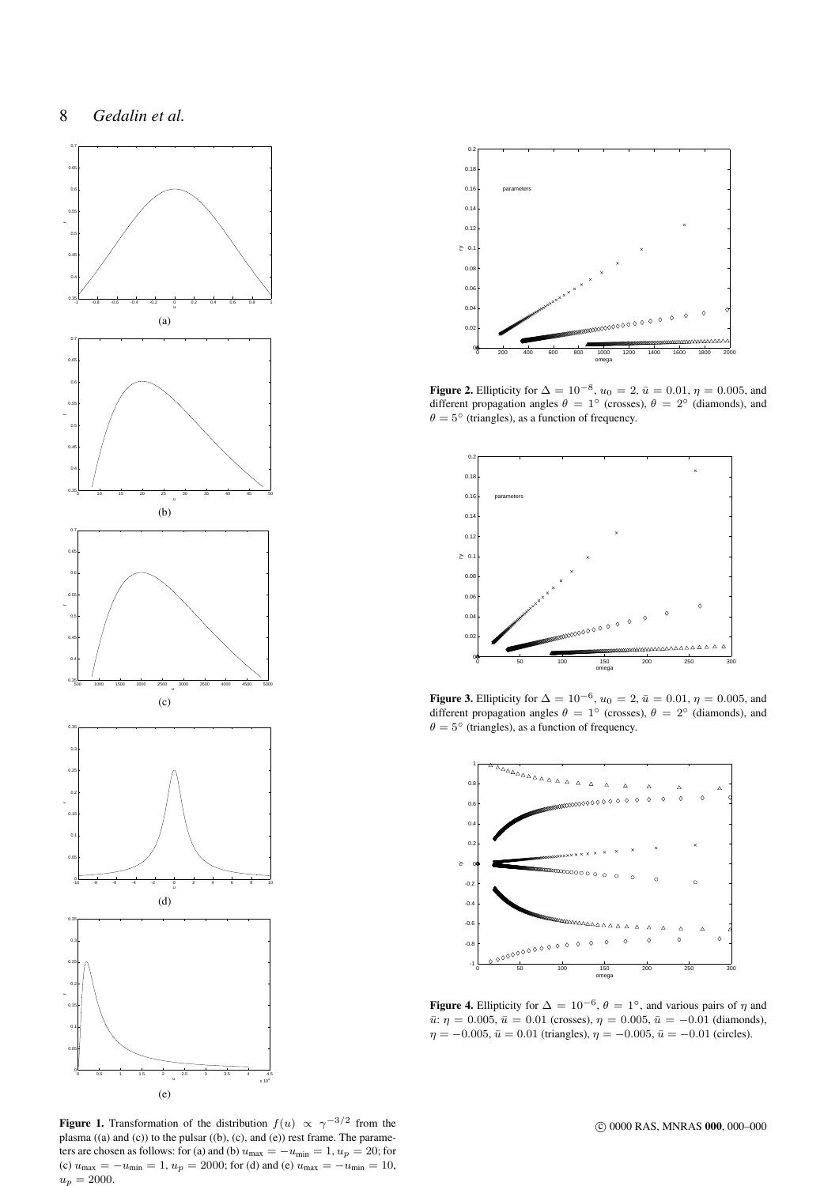

0 200 400 600 800 1000 1200 1400 1600 1800 2000 00  $\mathbf{0}$  $\overline{0}$ .  $\overline{0}$ .  $\overline{0}$ .  $0.1<sub>+</sub>$  $\overline{0}$ .  $\overline{0}$ .  $\overline{0}$ .  $0.1$  $0.2$ omega ry parameters

**Figure 2.** Ellipticity for  $\Delta = 10^{-8}$ ,  $u_0 = 2$ ,  $\bar{u} = 0.01$ ,  $\eta = 0.005$ , and different propagation angles  $\theta = 1^\circ$  (crosses),  $\theta = 2^\circ$  (diamonds), and  $\theta = 5^{\circ}$  (triangles), as a function of frequency.



**Figure 3.** Ellipticity for  $\Delta = 10^{-6}$ ,  $u_0 = 2$ ,  $\bar{u} = 0.01$ ,  $\eta = 0.005$ , and different propagation angles  $\theta = 1^\circ$  (crosses),  $\theta = 2^\circ$  (diamonds), and  $\theta = 5^{\circ}$  (triangles), as a function of frequency.



Figure 4. Ellipticity for  $\Delta = 10^{-6}$ ,  $\theta = 1^{\circ}$ , and various pairs of  $\eta$  and  $\bar{u}$ :  $\eta = 0.005$ ,  $\bar{u} = 0.01$  (crosses),  $\eta = 0.005$ ,  $\bar{u} = -0.01$  (diamonds),  $\eta = -0.005$ ,  $\bar{u} = 0.01$  (triangles),  $\eta = -0.005$ ,  $\bar{u} = -0.01$  (circles).

**Figure 1.** Transformation of the distribution  $f(u) \propto \gamma^{-3/2}$  from the plasma ((a) and (c)) to the pulsar ((b), (c), and (e)) rest frame. The parameters are chosen as follows: for (a) and (b)  $u_{\text{max}} = -u_{\text{min}} = 1, u_p = 20$ ; for (c)  $u_{\text{max}} = -u_{\text{min}} = 1$ ,  $u_p = 2000$ ; for (d) and (e)  $u_{\text{max}} = -u_{\text{min}} = 10$ ,  $u_p = 2000.$ 

c 0000 RAS, MNRAS 000, 000–000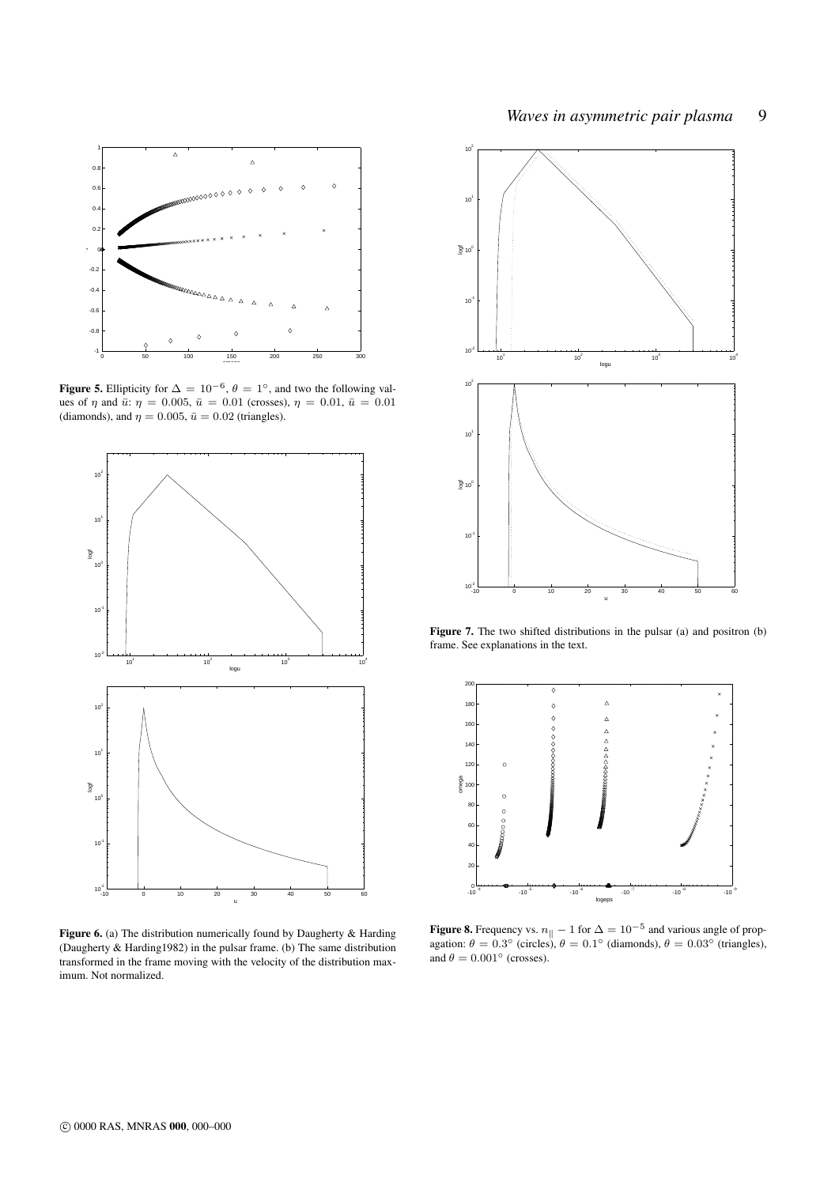

**Figure 5.** Ellipticity for  $\Delta = 10^{-6}$ ,  $\theta = 1^{\circ}$ , and two the following values of  $\eta$  and  $\bar{u}$ :  $\eta = 0.005$ ,  $\bar{u} = 0.01$  (crosses),  $\eta = 0.01$ ,  $\bar{u} = 0.01$ (diamonds), and  $\eta = 0.005$ ,  $\bar{u} = 0.02$  (triangles).



Figure 6. (a) The distribution numerically found by Daugherty & Harding (Daugherty & Harding1982) in the pulsar frame. (b) The same distribution transformed in the frame moving with the velocity of the distribution maximum. Not normalized.



Figure 7. The two shifted distributions in the pulsar (a) and positron (b) frame. See explanations in the text.



**Figure 8.** Frequency vs.  $n_{\parallel} - 1$  for  $\Delta = 10^{-5}$  and various angle of propagation:  $\theta = 0.3^{\circ}$  (circles),  $\theta = 0.1^{\circ}$  (diamonds),  $\theta = 0.03^{\circ}$  (triangles), and  $\theta = 0.001$ ° (crosses).